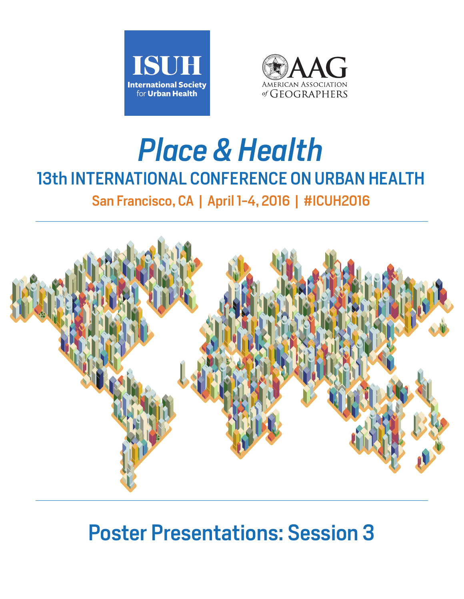



# *Place & Health* 13th INTERNATIONAL CONFERENCE ON URBAN HEALTH

San Francisco, CA | April 1-4, 2016 | #ICUH2016



# Poster Presentations: Session 3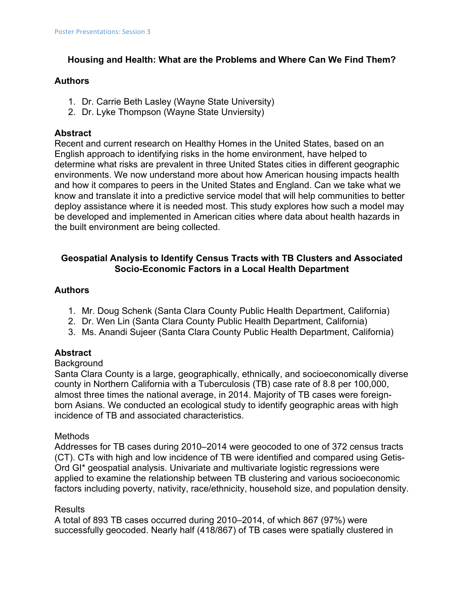# **Housing and Health: What are the Problems and Where Can We Find Them?**

#### **Authors**

- 1. Dr. Carrie Beth Lasley (Wayne State University)
- 2. Dr. Lyke Thompson (Wayne State Unviersity)

# **Abstract**

Recent and current research on Healthy Homes in the United States, based on an English approach to identifying risks in the home environment, have helped to determine what risks are prevalent in three United States cities in different geographic environments. We now understand more about how American housing impacts health and how it compares to peers in the United States and England. Can we take what we know and translate it into a predictive service model that will help communities to better deploy assistance where it is needed most. This study explores how such a model may be developed and implemented in American cities where data about health hazards in the built environment are being collected.

# **Geospatial Analysis to Identify Census Tracts with TB Clusters and Associated Socio-Economic Factors in a Local Health Department**

### **Authors**

- 1. Mr. Doug Schenk (Santa Clara County Public Health Department, California)
- 2. Dr. Wen Lin (Santa Clara County Public Health Department, California)
- 3. Ms. Anandi Sujeer (Santa Clara County Public Health Department, California)

### **Abstract**

#### **Background**

Santa Clara County is a large, geographically, ethnically, and socioeconomically diverse county in Northern California with a Tuberculosis (TB) case rate of 8.8 per 100,000, almost three times the national average, in 2014. Majority of TB cases were foreignborn Asians. We conducted an ecological study to identify geographic areas with high incidence of TB and associated characteristics.

### **Methods**

Addresses for TB cases during 2010–2014 were geocoded to one of 372 census tracts (CT). CTs with high and low incidence of TB were identified and compared using Getis-Ord GI\* geospatial analysis. Univariate and multivariate logistic regressions were applied to examine the relationship between TB clustering and various socioeconomic factors including poverty, nativity, race/ethnicity, household size, and population density.

### Results

A total of 893 TB cases occurred during 2010–2014, of which 867 (97%) were successfully geocoded. Nearly half (418/867) of TB cases were spatially clustered in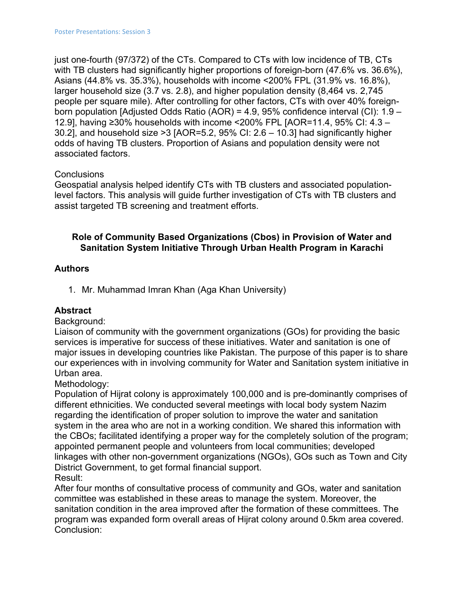just one-fourth (97/372) of the CTs. Compared to CTs with low incidence of TB, CTs with TB clusters had significantly higher proportions of foreign-born (47.6% vs. 36.6%), Asians (44.8% vs. 35.3%), households with income <200% FPL (31.9% vs. 16.8%), larger household size (3.7 vs. 2.8), and higher population density (8,464 vs. 2,745 people per square mile). After controlling for other factors, CTs with over 40% foreignborn population [Adjusted Odds Ratio (AOR) = 4.9, 95% confidence interval (CI): 1.9 – 12.9], having ≥30% households with income <200% FPL [AOR=11.4, 95% CI: 4.3 – 30.2], and household size >3 [AOR=5.2, 95% CI: 2.6 – 10.3] had significantly higher odds of having TB clusters. Proportion of Asians and population density were not associated factors.

# **Conclusions**

Geospatial analysis helped identify CTs with TB clusters and associated populationlevel factors. This analysis will guide further investigation of CTs with TB clusters and assist targeted TB screening and treatment efforts.

# **Role of Community Based Organizations (Cbos) in Provision of Water and Sanitation System Initiative Through Urban Health Program in Karachi**

# **Authors**

1. Mr. Muhammad Imran Khan (Aga Khan University)

# **Abstract**

### Background:

Liaison of community with the government organizations (GOs) for providing the basic services is imperative for success of these initiatives. Water and sanitation is one of major issues in developing countries like Pakistan. The purpose of this paper is to share our experiences with in involving community for Water and Sanitation system initiative in Urban area.

Methodology:

Population of Hijrat colony is approximately 100,000 and is pre-dominantly comprises of different ethnicities. We conducted several meetings with local body system Nazim regarding the identification of proper solution to improve the water and sanitation system in the area who are not in a working condition. We shared this information with the CBOs; facilitated identifying a proper way for the completely solution of the program; appointed permanent people and volunteers from local communities; developed linkages with other non-government organizations (NGOs), GOs such as Town and City District Government, to get formal financial support. Result:

After four months of consultative process of community and GOs, water and sanitation committee was established in these areas to manage the system. Moreover, the sanitation condition in the area improved after the formation of these committees. The program was expanded form overall areas of Hijrat colony around 0.5km area covered. Conclusion: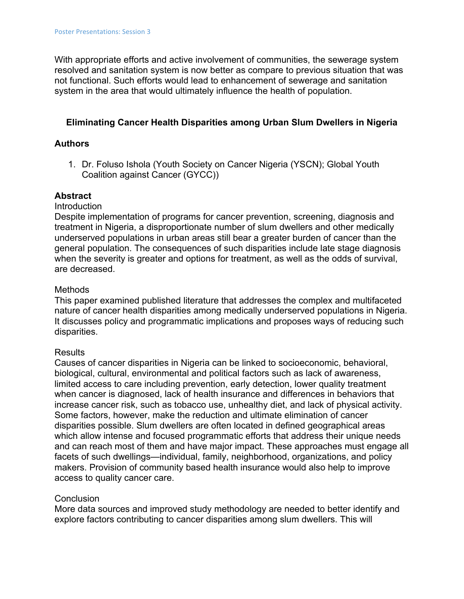With appropriate efforts and active involvement of communities, the sewerage system resolved and sanitation system is now better as compare to previous situation that was not functional. Such efforts would lead to enhancement of sewerage and sanitation system in the area that would ultimately influence the health of population.

#### **Eliminating Cancer Health Disparities among Urban Slum Dwellers in Nigeria**

#### **Authors**

1. Dr. Foluso Ishola (Youth Society on Cancer Nigeria (YSCN); Global Youth Coalition against Cancer (GYCC))

#### **Abstract**

Introduction

Despite implementation of programs for cancer prevention, screening, diagnosis and treatment in Nigeria, a disproportionate number of slum dwellers and other medically underserved populations in urban areas still bear a greater burden of cancer than the general population. The consequences of such disparities include late stage diagnosis when the severity is greater and options for treatment, as well as the odds of survival, are decreased.

#### **Methods**

This paper examined published literature that addresses the complex and multifaceted nature of cancer health disparities among medically underserved populations in Nigeria. It discusses policy and programmatic implications and proposes ways of reducing such disparities.

#### Results

Causes of cancer disparities in Nigeria can be linked to socioeconomic, behavioral, biological, cultural, environmental and political factors such as lack of awareness, limited access to care including prevention, early detection, lower quality treatment when cancer is diagnosed, lack of health insurance and differences in behaviors that increase cancer risk, such as tobacco use, unhealthy diet, and lack of physical activity. Some factors, however, make the reduction and ultimate elimination of cancer disparities possible. Slum dwellers are often located in defined geographical areas which allow intense and focused programmatic efforts that address their unique needs and can reach most of them and have major impact. These approaches must engage all facets of such dwellings—individual, family, neighborhood, organizations, and policy makers. Provision of community based health insurance would also help to improve access to quality cancer care.

#### **Conclusion**

More data sources and improved study methodology are needed to better identify and explore factors contributing to cancer disparities among slum dwellers. This will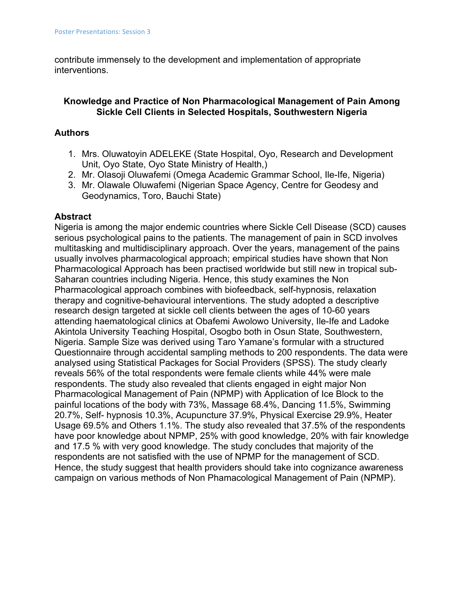contribute immensely to the development and implementation of appropriate interventions.

# **Knowledge and Practice of Non Pharmacological Management of Pain Among Sickle Cell Clients in Selected Hospitals, Southwestern Nigeria**

# **Authors**

- 1. Mrs. Oluwatoyin ADELEKE (State Hospital, Oyo, Research and Development Unit, Oyo State, Oyo State Ministry of Health,)
- 2. Mr. Olasoji Oluwafemi (Omega Academic Grammar School, Ile-Ife, Nigeria)
- 3. Mr. Olawale Oluwafemi (Nigerian Space Agency, Centre for Geodesy and Geodynamics, Toro, Bauchi State)

# **Abstract**

Nigeria is among the major endemic countries where Sickle Cell Disease (SCD) causes serious psychological pains to the patients. The management of pain in SCD involves multitasking and multidisciplinary approach. Over the years, management of the pains usually involves pharmacological approach; empirical studies have shown that Non Pharmacological Approach has been practised worldwide but still new in tropical sub-Saharan countries including Nigeria. Hence, this study examines the Non Pharmacological approach combines with biofeedback, self-hypnosis, relaxation therapy and cognitive-behavioural interventions. The study adopted a descriptive research design targeted at sickle cell clients between the ages of 10-60 years attending haematological clinics at Obafemi Awolowo University, Ile-Ife and Ladoke Akintola University Teaching Hospital, Osogbo both in Osun State, Southwestern, Nigeria. Sample Size was derived using Taro Yamane's formular with a structured Questionnaire through accidental sampling methods to 200 respondents. The data were analysed using Statistical Packages for Social Providers (SPSS). The study clearly reveals 56% of the total respondents were female clients while 44% were male respondents. The study also revealed that clients engaged in eight major Non Pharmacological Management of Pain (NPMP) with Application of Ice Block to the painful locations of the body with 73%, Massage 68.4%, Dancing 11.5%, Swimming 20.7%, Self- hypnosis 10.3%, Acupuncture 37.9%, Physical Exercise 29.9%, Heater Usage 69.5% and Others 1.1%. The study also revealed that 37.5% of the respondents have poor knowledge about NPMP, 25% with good knowledge, 20% with fair knowledge and 17.5 % with very good knowledge. The study concludes that majority of the respondents are not satisfied with the use of NPMP for the management of SCD. Hence, the study suggest that health providers should take into cognizance awareness campaign on various methods of Non Phamacological Management of Pain (NPMP).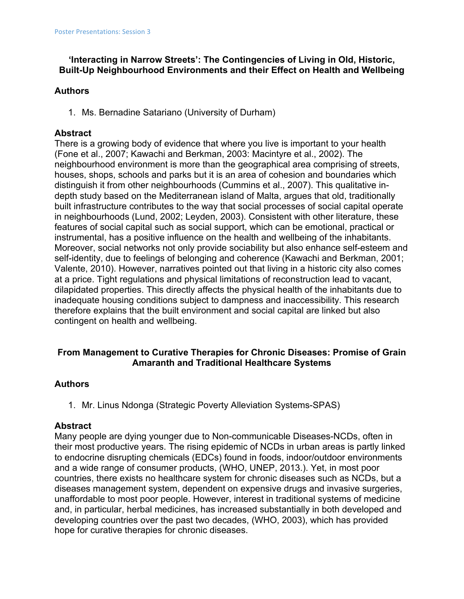# **'Interacting in Narrow Streets': The Contingencies of Living in Old, Historic, Built-Up Neighbourhood Environments and their Effect on Health and Wellbeing**

# **Authors**

1. Ms. Bernadine Satariano (University of Durham)

# **Abstract**

There is a growing body of evidence that where you live is important to your health (Fone et al., 2007; Kawachi and Berkman, 2003: Macintyre et al., 2002). The neighbourhood environment is more than the geographical area comprising of streets, houses, shops, schools and parks but it is an area of cohesion and boundaries which distinguish it from other neighbourhoods (Cummins et al., 2007). This qualitative indepth study based on the Mediterranean island of Malta, argues that old, traditionally built infrastructure contributes to the way that social processes of social capital operate in neighbourhoods (Lund, 2002; Leyden, 2003). Consistent with other literature, these features of social capital such as social support, which can be emotional, practical or instrumental, has a positive influence on the health and wellbeing of the inhabitants. Moreover, social networks not only provide sociability but also enhance self-esteem and self-identity, due to feelings of belonging and coherence (Kawachi and Berkman, 2001; Valente, 2010). However, narratives pointed out that living in a historic city also comes at a price. Tight regulations and physical limitations of reconstruction lead to vacant, dilapidated properties. This directly affects the physical health of the inhabitants due to inadequate housing conditions subject to dampness and inaccessibility. This research therefore explains that the built environment and social capital are linked but also contingent on health and wellbeing.

# **From Management to Curative Therapies for Chronic Diseases: Promise of Grain Amaranth and Traditional Healthcare Systems**

# **Authors**

1. Mr. Linus Ndonga (Strategic Poverty Alleviation Systems-SPAS)

### **Abstract**

Many people are dying younger due to Non-communicable Diseases-NCDs, often in their most productive years. The rising epidemic of NCDs in urban areas is partly linked to endocrine disrupting chemicals (EDCs) found in foods, indoor/outdoor environments and a wide range of consumer products, (WHO, UNEP, 2013.). Yet, in most poor countries, there exists no healthcare system for chronic diseases such as NCDs, but a diseases management system, dependent on expensive drugs and invasive surgeries, unaffordable to most poor people. However, interest in traditional systems of medicine and, in particular, herbal medicines, has increased substantially in both developed and developing countries over the past two decades, (WHO, 2003), which has provided hope for curative therapies for chronic diseases.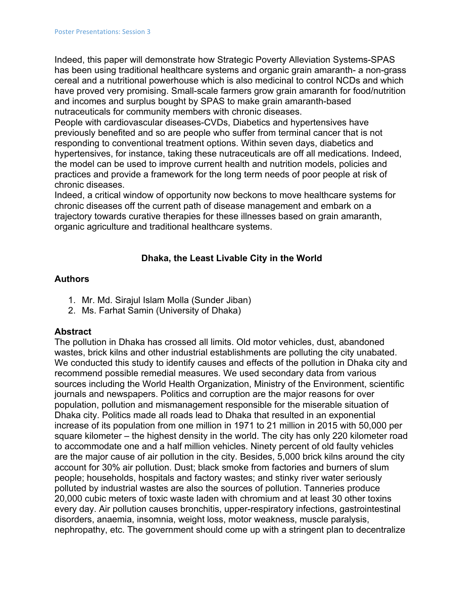Indeed, this paper will demonstrate how Strategic Poverty Alleviation Systems-SPAS has been using traditional healthcare systems and organic grain amaranth- a non-grass cereal and a nutritional powerhouse which is also medicinal to control NCDs and which have proved very promising. Small-scale farmers grow grain amaranth for food/nutrition and incomes and surplus bought by SPAS to make grain amaranth-based nutraceuticals for community members with chronic diseases.

People with cardiovascular diseases-CVDs, Diabetics and hypertensives have previously benefited and so are people who suffer from terminal cancer that is not responding to conventional treatment options. Within seven days, diabetics and hypertensives, for instance, taking these nutraceuticals are off all medications. Indeed, the model can be used to improve current health and nutrition models, policies and practices and provide a framework for the long term needs of poor people at risk of chronic diseases.

Indeed, a critical window of opportunity now beckons to move healthcare systems for chronic diseases off the current path of disease management and embark on a trajectory towards curative therapies for these illnesses based on grain amaranth, organic agriculture and traditional healthcare systems.

# **Dhaka, the Least Livable City in the World**

### **Authors**

- 1. Mr. Md. Sirajul Islam Molla (Sunder Jiban)
- 2. Ms. Farhat Samin (University of Dhaka)

### **Abstract**

The pollution in Dhaka has crossed all limits. Old motor vehicles, dust, abandoned wastes, brick kilns and other industrial establishments are polluting the city unabated. We conducted this study to identify causes and effects of the pollution in Dhaka city and recommend possible remedial measures. We used secondary data from various sources including the World Health Organization, Ministry of the Environment, scientific journals and newspapers. Politics and corruption are the major reasons for over population, pollution and mismanagement responsible for the miserable situation of Dhaka city. Politics made all roads lead to Dhaka that resulted in an exponential increase of its population from one million in 1971 to 21 million in 2015 with 50,000 per square kilometer – the highest density in the world. The city has only 220 kilometer road to accommodate one and a half million vehicles. Ninety percent of old faulty vehicles are the major cause of air pollution in the city. Besides, 5,000 brick kilns around the city account for 30% air pollution. Dust; black smoke from factories and burners of slum people; households, hospitals and factory wastes; and stinky river water seriously polluted by industrial wastes are also the sources of pollution. Tanneries produce 20,000 cubic meters of toxic waste laden with chromium and at least 30 other toxins every day. Air pollution causes bronchitis, upper-respiratory infections, gastrointestinal disorders, anaemia, insomnia, weight loss, motor weakness, muscle paralysis, nephropathy, etc. The government should come up with a stringent plan to decentralize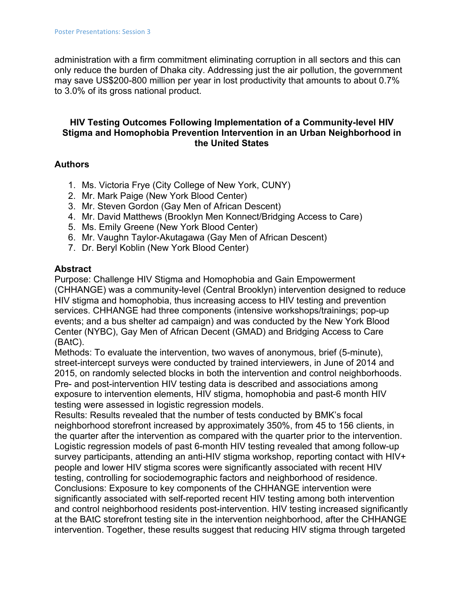administration with a firm commitment eliminating corruption in all sectors and this can only reduce the burden of Dhaka city. Addressing just the air pollution, the government may save US\$200-800 million per year in lost productivity that amounts to about 0.7% to 3.0% of its gross national product.

# **HIV Testing Outcomes Following Implementation of a Community-level HIV Stigma and Homophobia Prevention Intervention in an Urban Neighborhood in the United States**

#### **Authors**

- 1. Ms. Victoria Frye (City College of New York, CUNY)
- 2. Mr. Mark Paige (New York Blood Center)
- 3. Mr. Steven Gordon (Gay Men of African Descent)
- 4. Mr. David Matthews (Brooklyn Men Konnect/Bridging Access to Care)
- 5. Ms. Emily Greene (New York Blood Center)
- 6. Mr. Vaughn Taylor-Akutagawa (Gay Men of African Descent)
- 7. Dr. Beryl Koblin (New York Blood Center)

#### **Abstract**

Purpose: Challenge HIV Stigma and Homophobia and Gain Empowerment (CHHANGE) was a community-level (Central Brooklyn) intervention designed to reduce HIV stigma and homophobia, thus increasing access to HIV testing and prevention services. CHHANGE had three components (intensive workshops/trainings; pop-up events; and a bus shelter ad campaign) and was conducted by the New York Blood Center (NYBC), Gay Men of African Decent (GMAD) and Bridging Access to Care (BAtC).

Methods: To evaluate the intervention, two waves of anonymous, brief (5-minute), street-intercept surveys were conducted by trained interviewers, in June of 2014 and 2015, on randomly selected blocks in both the intervention and control neighborhoods. Pre- and post-intervention HIV testing data is described and associations among exposure to intervention elements, HIV stigma, homophobia and past-6 month HIV testing were assessed in logistic regression models.

Results: Results revealed that the number of tests conducted by BMK's focal neighborhood storefront increased by approximately 350%, from 45 to 156 clients, in the quarter after the intervention as compared with the quarter prior to the intervention. Logistic regression models of past 6-month HIV testing revealed that among follow-up survey participants, attending an anti-HIV stigma workshop, reporting contact with HIV+ people and lower HIV stigma scores were significantly associated with recent HIV testing, controlling for sociodemographic factors and neighborhood of residence. Conclusions: Exposure to key components of the CHHANGE intervention were significantly associated with self-reported recent HIV testing among both intervention and control neighborhood residents post-intervention. HIV testing increased significantly at the BAtC storefront testing site in the intervention neighborhood, after the CHHANGE intervention. Together, these results suggest that reducing HIV stigma through targeted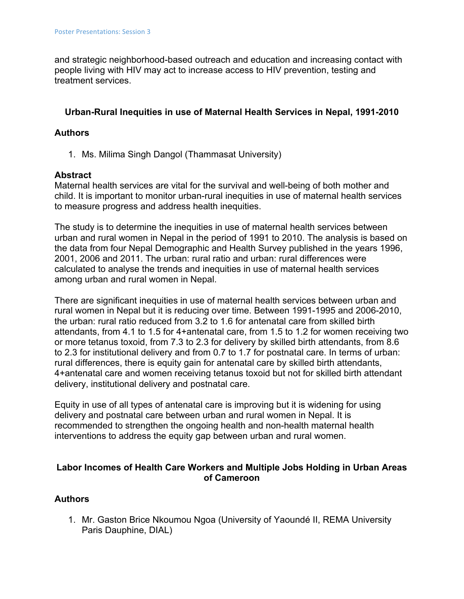and strategic neighborhood-based outreach and education and increasing contact with people living with HIV may act to increase access to HIV prevention, testing and treatment services.

### **Urban-Rural Inequities in use of Maternal Health Services in Nepal, 1991-2010**

### **Authors**

1. Ms. Milima Singh Dangol (Thammasat University)

#### **Abstract**

Maternal health services are vital for the survival and well-being of both mother and child. It is important to monitor urban-rural inequities in use of maternal health services to measure progress and address health inequities.

The study is to determine the inequities in use of maternal health services between urban and rural women in Nepal in the period of 1991 to 2010. The analysis is based on the data from four Nepal Demographic and Health Survey published in the years 1996, 2001, 2006 and 2011. The urban: rural ratio and urban: rural differences were calculated to analyse the trends and inequities in use of maternal health services among urban and rural women in Nepal.

There are significant inequities in use of maternal health services between urban and rural women in Nepal but it is reducing over time. Between 1991-1995 and 2006-2010, the urban: rural ratio reduced from 3.2 to 1.6 for antenatal care from skilled birth attendants, from 4.1 to 1.5 for 4+antenatal care, from 1.5 to 1.2 for women receiving two or more tetanus toxoid, from 7.3 to 2.3 for delivery by skilled birth attendants, from 8.6 to 2.3 for institutional delivery and from 0.7 to 1.7 for postnatal care. In terms of urban: rural differences, there is equity gain for antenatal care by skilled birth attendants, 4+antenatal care and women receiving tetanus toxoid but not for skilled birth attendant delivery, institutional delivery and postnatal care.

Equity in use of all types of antenatal care is improving but it is widening for using delivery and postnatal care between urban and rural women in Nepal. It is recommended to strengthen the ongoing health and non-health maternal health interventions to address the equity gap between urban and rural women.

# **Labor Incomes of Health Care Workers and Multiple Jobs Holding in Urban Areas of Cameroon**

### **Authors**

1. Mr. Gaston Brice Nkoumou Ngoa (University of Yaoundé II, REMA University Paris Dauphine, DIAL)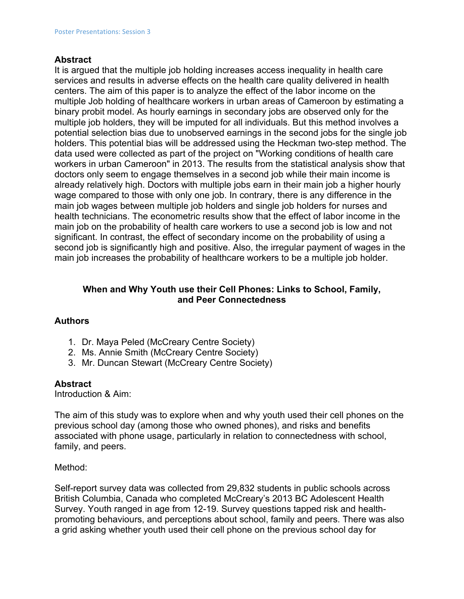#### **Abstract**

It is argued that the multiple job holding increases access inequality in health care services and results in adverse effects on the health care quality delivered in health centers. The aim of this paper is to analyze the effect of the labor income on the multiple Job holding of healthcare workers in urban areas of Cameroon by estimating a binary probit model. As hourly earnings in secondary jobs are observed only for the multiple job holders, they will be imputed for all individuals. But this method involves a potential selection bias due to unobserved earnings in the second jobs for the single job holders. This potential bias will be addressed using the Heckman two-step method. The data used were collected as part of the project on "Working conditions of health care workers in urban Cameroon" in 2013. The results from the statistical analysis show that doctors only seem to engage themselves in a second job while their main income is already relatively high. Doctors with multiple jobs earn in their main job a higher hourly wage compared to those with only one job. In contrary, there is any difference in the main job wages between multiple job holders and single job holders for nurses and health technicians. The econometric results show that the effect of labor income in the main job on the probability of health care workers to use a second job is low and not significant. In contrast, the effect of secondary income on the probability of using a second job is significantly high and positive. Also, the irregular payment of wages in the main job increases the probability of healthcare workers to be a multiple job holder.

### **When and Why Youth use their Cell Phones: Links to School, Family, and Peer Connectedness**

### **Authors**

- 1. Dr. Maya Peled (McCreary Centre Society)
- 2. Ms. Annie Smith (McCreary Centre Society)
- 3. Mr. Duncan Stewart (McCreary Centre Society)

### **Abstract**

Introduction & Aim:

The aim of this study was to explore when and why youth used their cell phones on the previous school day (among those who owned phones), and risks and benefits associated with phone usage, particularly in relation to connectedness with school, family, and peers.

### Method:

Self-report survey data was collected from 29,832 students in public schools across British Columbia, Canada who completed McCreary's 2013 BC Adolescent Health Survey. Youth ranged in age from 12-19. Survey questions tapped risk and healthpromoting behaviours, and perceptions about school, family and peers. There was also a grid asking whether youth used their cell phone on the previous school day for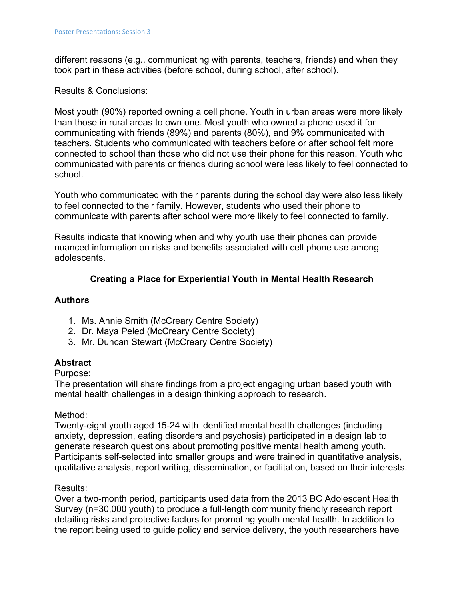different reasons (e.g., communicating with parents, teachers, friends) and when they took part in these activities (before school, during school, after school).

### Results & Conclusions:

Most youth (90%) reported owning a cell phone. Youth in urban areas were more likely than those in rural areas to own one. Most youth who owned a phone used it for communicating with friends (89%) and parents (80%), and 9% communicated with teachers. Students who communicated with teachers before or after school felt more connected to school than those who did not use their phone for this reason. Youth who communicated with parents or friends during school were less likely to feel connected to school.

Youth who communicated with their parents during the school day were also less likely to feel connected to their family. However, students who used their phone to communicate with parents after school were more likely to feel connected to family.

Results indicate that knowing when and why youth use their phones can provide nuanced information on risks and benefits associated with cell phone use among adolescents.

# **Creating a Place for Experiential Youth in Mental Health Research**

### **Authors**

- 1. Ms. Annie Smith (McCreary Centre Society)
- 2. Dr. Maya Peled (McCreary Centre Society)
- 3. Mr. Duncan Stewart (McCreary Centre Society)

### **Abstract**

### Purpose:

The presentation will share findings from a project engaging urban based youth with mental health challenges in a design thinking approach to research.

### Method:

Twenty-eight youth aged 15-24 with identified mental health challenges (including anxiety, depression, eating disorders and psychosis) participated in a design lab to generate research questions about promoting positive mental health among youth. Participants self-selected into smaller groups and were trained in quantitative analysis, qualitative analysis, report writing, dissemination, or facilitation, based on their interests.

### Results:

Over a two-month period, participants used data from the 2013 BC Adolescent Health Survey (n=30,000 youth) to produce a full-length community friendly research report detailing risks and protective factors for promoting youth mental health. In addition to the report being used to guide policy and service delivery, the youth researchers have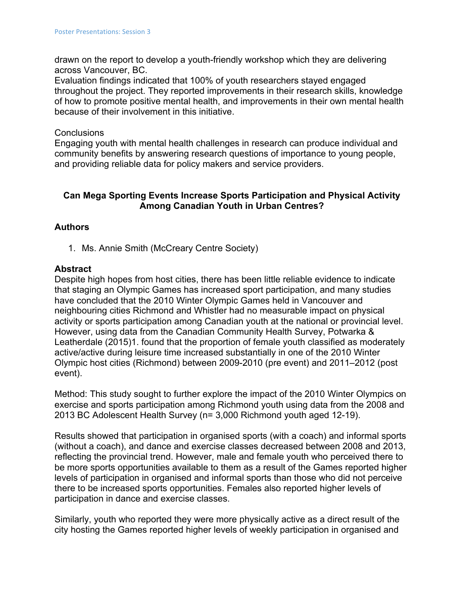drawn on the report to develop a youth-friendly workshop which they are delivering across Vancouver, BC.

Evaluation findings indicated that 100% of youth researchers stayed engaged throughout the project. They reported improvements in their research skills, knowledge of how to promote positive mental health, and improvements in their own mental health because of their involvement in this initiative.

#### **Conclusions**

Engaging youth with mental health challenges in research can produce individual and community benefits by answering research questions of importance to young people, and providing reliable data for policy makers and service providers.

# **Can Mega Sporting Events Increase Sports Participation and Physical Activity Among Canadian Youth in Urban Centres?**

#### **Authors**

1. Ms. Annie Smith (McCreary Centre Society)

#### **Abstract**

Despite high hopes from host cities, there has been little reliable evidence to indicate that staging an Olympic Games has increased sport participation, and many studies have concluded that the 2010 Winter Olympic Games held in Vancouver and neighbouring cities Richmond and Whistler had no measurable impact on physical activity or sports participation among Canadian youth at the national or provincial level. However, using data from the Canadian Community Health Survey, Potwarka & Leatherdale (2015)1. found that the proportion of female youth classified as moderately active/active during leisure time increased substantially in one of the 2010 Winter Olympic host cities (Richmond) between 2009-2010 (pre event) and 2011–2012 (post event).

Method: This study sought to further explore the impact of the 2010 Winter Olympics on exercise and sports participation among Richmond youth using data from the 2008 and 2013 BC Adolescent Health Survey (n= 3,000 Richmond youth aged 12-19).

Results showed that participation in organised sports (with a coach) and informal sports (without a coach), and dance and exercise classes decreased between 2008 and 2013, reflecting the provincial trend. However, male and female youth who perceived there to be more sports opportunities available to them as a result of the Games reported higher levels of participation in organised and informal sports than those who did not perceive there to be increased sports opportunities. Females also reported higher levels of participation in dance and exercise classes.

Similarly, youth who reported they were more physically active as a direct result of the city hosting the Games reported higher levels of weekly participation in organised and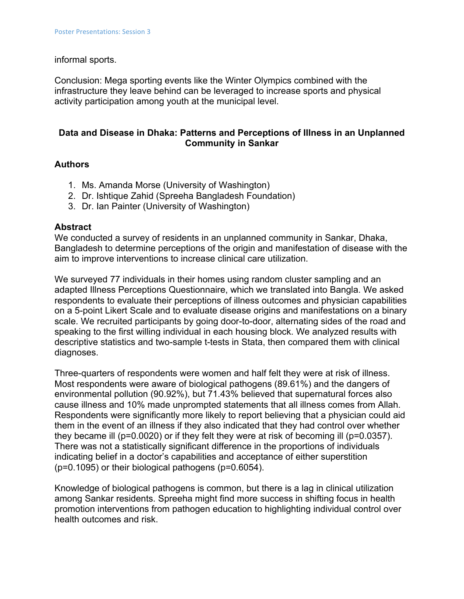#### informal sports.

Conclusion: Mega sporting events like the Winter Olympics combined with the infrastructure they leave behind can be leveraged to increase sports and physical activity participation among youth at the municipal level.

#### **Data and Disease in Dhaka: Patterns and Perceptions of Illness in an Unplanned Community in Sankar**

#### **Authors**

- 1. Ms. Amanda Morse (University of Washington)
- 2. Dr. Ishtique Zahid (Spreeha Bangladesh Foundation)
- 3. Dr. Ian Painter (University of Washington)

#### **Abstract**

We conducted a survey of residents in an unplanned community in Sankar, Dhaka, Bangladesh to determine perceptions of the origin and manifestation of disease with the aim to improve interventions to increase clinical care utilization.

We surveyed 77 individuals in their homes using random cluster sampling and an adapted Illness Perceptions Questionnaire, which we translated into Bangla. We asked respondents to evaluate their perceptions of illness outcomes and physician capabilities on a 5-point Likert Scale and to evaluate disease origins and manifestations on a binary scale. We recruited participants by going door-to-door, alternating sides of the road and speaking to the first willing individual in each housing block. We analyzed results with descriptive statistics and two-sample t-tests in Stata, then compared them with clinical diagnoses.

Three-quarters of respondents were women and half felt they were at risk of illness. Most respondents were aware of biological pathogens (89.61%) and the dangers of environmental pollution (90.92%), but 71.43% believed that supernatural forces also cause illness and 10% made unprompted statements that all illness comes from Allah. Respondents were significantly more likely to report believing that a physician could aid them in the event of an illness if they also indicated that they had control over whether they became ill (p=0.0020) or if they felt they were at risk of becoming ill (p=0.0357). There was not a statistically significant difference in the proportions of individuals indicating belief in a doctor's capabilities and acceptance of either superstition (p=0.1095) or their biological pathogens (p=0.6054).

Knowledge of biological pathogens is common, but there is a lag in clinical utilization among Sankar residents. Spreeha might find more success in shifting focus in health promotion interventions from pathogen education to highlighting individual control over health outcomes and risk.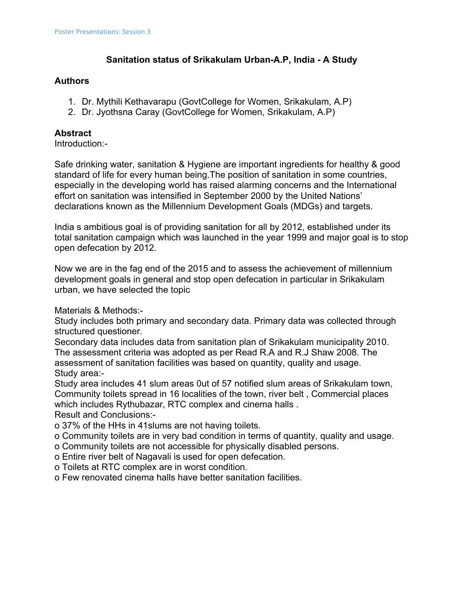# **Sanitation status of Srikakulam Urban-A.P, India - A Study**

### **Authors**

- 1. Dr. Mythili Kethavarapu (GovtCollege for Women, Srikakulam, A.P)
- 2. Dr. Jyothsna Caray (GovtCollege for Women, Srikakulam, A.P)

# **Abstract**

Introduction:-

Safe drinking water, sanitation & Hygiene are important ingredients for healthy & good standard of life for every human being.The position of sanitation in some countries, especially in the developing world has raised alarming concerns and the International effort on sanitation was intensified in September 2000 by the United Nations' declarations known as the Millennium Development Goals (MDGs) and targets.

India s ambitious goal is of providing sanitation for all by 2012, established under its total sanitation campaign which was launched in the year 1999 and major goal is to stop open defecation by 2012.

Now we are in the fag end of the 2015 and to assess the achievement of millennium development goals in general and stop open defecation in particular in Srikakulam urban, we have selected the topic

Materials & Methods:-

Study includes both primary and secondary data. Primary data was collected through structured questioner.

Secondary data includes data from sanitation plan of Srikakulam municipality 2010. The assessment criteria was adopted as per Read R.A and R.J Shaw 2008. The assessment of sanitation facilities was based on quantity, quality and usage. Study area:-

Study area includes 41 slum areas 0ut of 57 notified slum areas of Srikakulam town, Community toilets spread in 16 localities of the town, river belt , Commercial places which includes Rythubazar, RTC complex and cinema halls . Result and Conclusions:-

o 37% of the HHs in 41slums are not having toilets.

- o Community toilets are in very bad condition in terms of quantity, quality and usage.
- o Community toilets are not accessible for physically disabled persons.
- o Entire river belt of Nagavali is used for open defecation.
- o Toilets at RTC complex are in worst condition.
- o Few renovated cinema halls have better sanitation facilities.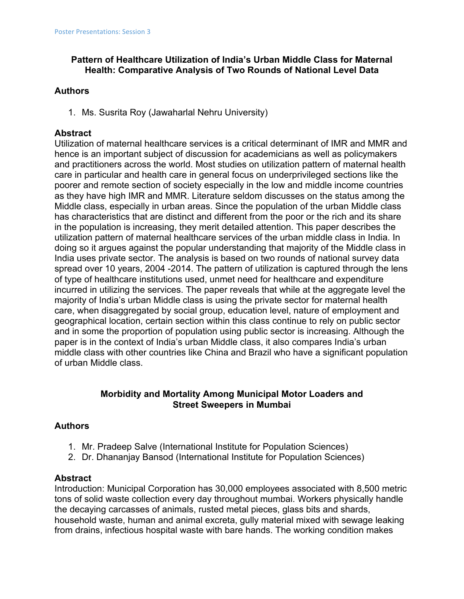# **Pattern of Healthcare Utilization of India's Urban Middle Class for Maternal Health: Comparative Analysis of Two Rounds of National Level Data**

### **Authors**

1. Ms. Susrita Roy (Jawaharlal Nehru University)

# **Abstract**

Utilization of maternal healthcare services is a critical determinant of IMR and MMR and hence is an important subject of discussion for academicians as well as policymakers and practitioners across the world. Most studies on utilization pattern of maternal health care in particular and health care in general focus on underprivileged sections like the poorer and remote section of society especially in the low and middle income countries as they have high IMR and MMR. Literature seldom discusses on the status among the Middle class, especially in urban areas. Since the population of the urban Middle class has characteristics that are distinct and different from the poor or the rich and its share in the population is increasing, they merit detailed attention. This paper describes the utilization pattern of maternal healthcare services of the urban middle class in India. In doing so it argues against the popular understanding that majority of the Middle class in India uses private sector. The analysis is based on two rounds of national survey data spread over 10 years, 2004 -2014. The pattern of utilization is captured through the lens of type of healthcare institutions used, unmet need for healthcare and expenditure incurred in utilizing the services. The paper reveals that while at the aggregate level the majority of India's urban Middle class is using the private sector for maternal health care, when disaggregated by social group, education level, nature of employment and geographical location, certain section within this class continue to rely on public sector and in some the proportion of population using public sector is increasing. Although the paper is in the context of India's urban Middle class, it also compares India's urban middle class with other countries like China and Brazil who have a significant population of urban Middle class.

### **Morbidity and Mortality Among Municipal Motor Loaders and Street Sweepers in Mumbai**

# **Authors**

- 1. Mr. Pradeep Salve (International Institute for Population Sciences)
- 2. Dr. Dhananjay Bansod (International Institute for Population Sciences)

### **Abstract**

Introduction: Municipal Corporation has 30,000 employees associated with 8,500 metric tons of solid waste collection every day throughout mumbai. Workers physically handle the decaying carcasses of animals, rusted metal pieces, glass bits and shards, household waste, human and animal excreta, gully material mixed with sewage leaking from drains, infectious hospital waste with bare hands. The working condition makes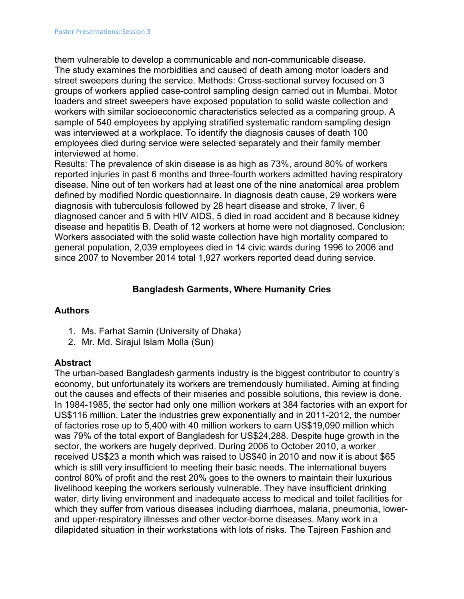them vulnerable to develop a communicable and non-communicable disease. The study examines the morbidities and caused of death among motor loaders and street sweepers during the service. Methods: Cross-sectional survey focused on 3 groups of workers applied case-control sampling design carried out in Mumbai. Motor loaders and street sweepers have exposed population to solid waste collection and workers with similar socioeconomic characteristics selected as a comparing group. A sample of 540 employees by applying stratified systematic random sampling design was interviewed at a workplace. To identify the diagnosis causes of death 100 employees died during service were selected separately and their family member interviewed at home.

Results: The prevalence of skin disease is as high as 73%, around 80% of workers reported injuries in past 6 months and three-fourth workers admitted having respiratory disease. Nine out of ten workers had at least one of the nine anatomical area problem defined by modified Nordic questionnaire. In diagnosis death cause, 29 workers were diagnosis with tuberculosis followed by 28 heart disease and stroke, 7 liver, 6 diagnosed cancer and 5 with HIV AIDS, 5 died in road accident and 8 because kidney disease and hepatitis B. Death of 12 workers at home were not diagnosed. Conclusion: Workers associated with the solid waste collection have high mortality compared to general population, 2,039 employees died in 14 civic wards during 1996 to 2006 and since 2007 to November 2014 total 1,927 workers reported dead during service.

### **Bangladesh Garments, Where Humanity Cries**

### **Authors**

- 1. Ms. Farhat Samin (University of Dhaka)
- 2. Mr. Md. Sirajul Islam Molla (Sun)

### **Abstract**

The urban-based Bangladesh garments industry is the biggest contributor to country's economy, but unfortunately its workers are tremendously humiliated. Aiming at finding out the causes and effects of their miseries and possible solutions, this review is done. In 1984-1985, the sector had only one million workers at 384 factories with an export for US\$116 million. Later the industries grew exponentially and in 2011-2012, the number of factories rose up to 5,400 with 40 million workers to earn US\$19,090 million which was 79% of the total export of Bangladesh for US\$24,288. Despite huge growth in the sector, the workers are hugely deprived. During 2006 to October 2010, a worker received US\$23 a month which was raised to US\$40 in 2010 and now it is about \$65 which is still very insufficient to meeting their basic needs. The international buyers control 80% of profit and the rest 20% goes to the owners to maintain their luxurious livelihood keeping the workers seriously vulnerable. They have insufficient drinking water, dirty living environment and inadequate access to medical and toilet facilities for which they suffer from various diseases including diarrhoea, malaria, pneumonia, lowerand upper-respiratory illnesses and other vector-borne diseases. Many work in a dilapidated situation in their workstations with lots of risks. The Tajreen Fashion and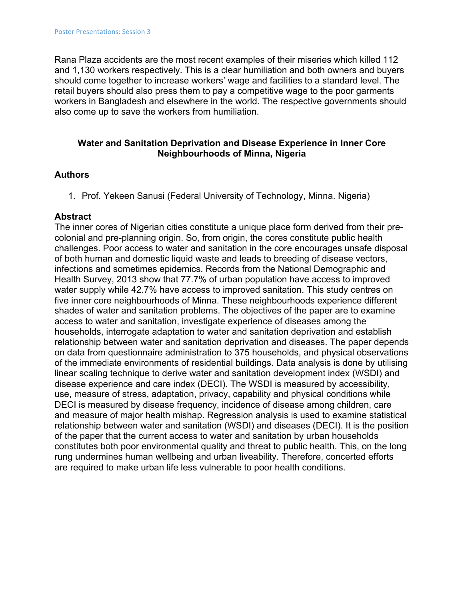Rana Plaza accidents are the most recent examples of their miseries which killed 112 and 1,130 workers respectively. This is a clear humiliation and both owners and buyers should come together to increase workers' wage and facilities to a standard level. The retail buyers should also press them to pay a competitive wage to the poor garments workers in Bangladesh and elsewhere in the world. The respective governments should also come up to save the workers from humiliation.

#### **Water and Sanitation Deprivation and Disease Experience in Inner Core Neighbourhoods of Minna, Nigeria**

### **Authors**

1. Prof. Yekeen Sanusi (Federal University of Technology, Minna. Nigeria)

### **Abstract**

The inner cores of Nigerian cities constitute a unique place form derived from their precolonial and pre-planning origin. So, from origin, the cores constitute public health challenges. Poor access to water and sanitation in the core encourages unsafe disposal of both human and domestic liquid waste and leads to breeding of disease vectors, infections and sometimes epidemics. Records from the National Demographic and Health Survey, 2013 show that 77.7% of urban population have access to improved water supply while 42.7% have access to improved sanitation. This study centres on five inner core neighbourhoods of Minna. These neighbourhoods experience different shades of water and sanitation problems. The objectives of the paper are to examine access to water and sanitation, investigate experience of diseases among the households, interrogate adaptation to water and sanitation deprivation and establish relationship between water and sanitation deprivation and diseases. The paper depends on data from questionnaire administration to 375 households, and physical observations of the immediate environments of residential buildings. Data analysis is done by utilising linear scaling technique to derive water and sanitation development index (WSDI) and disease experience and care index (DECI). The WSDI is measured by accessibility, use, measure of stress, adaptation, privacy, capability and physical conditions while DECI is measured by disease frequency, incidence of disease among children, care and measure of major health mishap. Regression analysis is used to examine statistical relationship between water and sanitation (WSDI) and diseases (DECI). It is the position of the paper that the current access to water and sanitation by urban households constitutes both poor environmental quality and threat to public health. This, on the long rung undermines human wellbeing and urban liveability. Therefore, concerted efforts are required to make urban life less vulnerable to poor health conditions.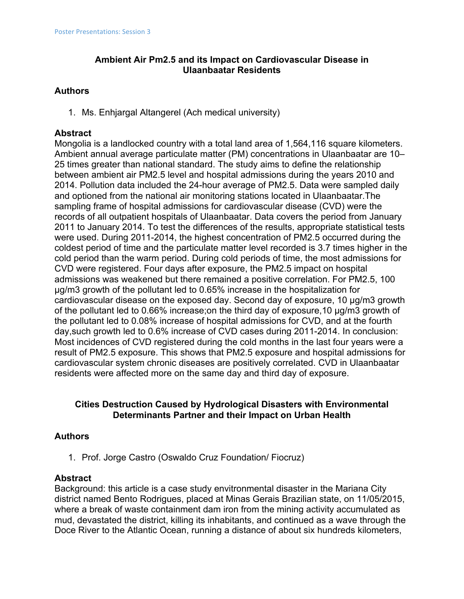# **Ambient Air Pm2.5 and its Impact on Cardiovascular Disease in Ulaanbaatar Residents**

# **Authors**

1. Ms. Enhjargal Altangerel (Ach medical university)

# **Abstract**

Mongolia is a landlocked country with a total land area of 1,564,116 square kilometers. Ambient annual average particulate matter (PM) concentrations in Ulaanbaatar are 10– 25 times greater than national standard. The study aims to define the relationship between ambient air PM2.5 level and hospital admissions during the years 2010 and 2014. Pollution data included the 24-hour average of PM2.5. Data were sampled daily and optioned from the national air monitoring stations located in Ulaanbaatar.The sampling frame of hospital admissions for cardiovascular disease (CVD) were the records of all outpatient hospitals of Ulaanbaatar. Data covers the period from January 2011 to January 2014. To test the differences of the results, appropriate statistical tests were used. During 2011-2014, the highest concentration of PM2.5 occurred during the coldest period of time and the particulate matter level recorded is 3.7 times higher in the cold period than the warm period. During cold periods of time, the most admissions for CVD were registered. Four days after exposure, the PM2.5 impact on hospital admissions was weakened but there remained a positive correlation. For PM2.5, 100 µg/m3 growth of the pollutant led to 0.65% increase in the hospitalization for cardiovascular disease on the exposed day. Second day of exposure, 10 µg/m3 growth of the pollutant led to 0.66% increase;on the third day of exposure,10 µg/m3 growth of the pollutant led to 0.08% increase of hospital admissions for CVD, and at the fourth day,such growth led to 0.6% increase of CVD cases during 2011-2014. In conclusion: Most incidences of CVD registered during the cold months in the last four years were a result of PM2.5 exposure. This shows that PM2.5 exposure and hospital admissions for cardiovascular system chronic diseases are positively correlated. CVD in Ulaanbaatar residents were affected more on the same day and third day of exposure.

# **Cities Destruction Caused by Hydrological Disasters with Environmental Determinants Partner and their Impact on Urban Health**

# **Authors**

1. Prof. Jorge Castro (Oswaldo Cruz Foundation/ Fiocruz)

### **Abstract**

Background: this article is a case study envitronmental disaster in the Mariana City district named Bento Rodrigues, placed at Minas Gerais Brazilian state, on 11/05/2015, where a break of waste containment dam iron from the mining activity accumulated as mud, devastated the district, killing its inhabitants, and continued as a wave through the Doce River to the Atlantic Ocean, running a distance of about six hundreds kilometers,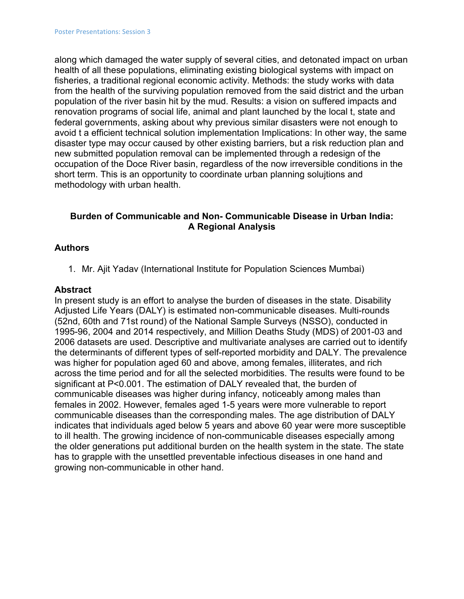along which damaged the water supply of several cities, and detonated impact on urban health of all these populations, eliminating existing biological systems with impact on fisheries, a traditional regional economic activity. Methods: the study works with data from the health of the surviving population removed from the said district and the urban population of the river basin hit by the mud. Results: a vision on suffered impacts and renovation programs of social life, animal and plant launched by the local t, state and federal governments, asking about why previous similar disasters were not enough to avoid t a efficient technical solution implementation Implications: In other way, the same disaster type may occur caused by other existing barriers, but a risk reduction plan and new submitted population removal can be implemented through a redesign of the occupation of the Doce River basin, regardless of the now irreversible conditions in the short term. This is an opportunity to coordinate urban planning solujtions and methodology with urban health.

### **Burden of Communicable and Non- Communicable Disease in Urban India: A Regional Analysis**

### **Authors**

1. Mr. Ajit Yadav (International Institute for Population Sciences Mumbai)

#### **Abstract**

In present study is an effort to analyse the burden of diseases in the state. Disability Adjusted Life Years (DALY) is estimated non-communicable diseases. Multi-rounds (52nd, 60th and 71st round) of the National Sample Surveys (NSSO), conducted in 1995-96, 2004 and 2014 respectively, and Million Deaths Study (MDS) of 2001-03 and 2006 datasets are used. Descriptive and multivariate analyses are carried out to identify the determinants of different types of self-reported morbidity and DALY. The prevalence was higher for population aged 60 and above, among females, illiterates, and rich across the time period and for all the selected morbidities. The results were found to be significant at P<0.001. The estimation of DALY revealed that, the burden of communicable diseases was higher during infancy, noticeably among males than females in 2002. However, females aged 1-5 years were more vulnerable to report communicable diseases than the corresponding males. The age distribution of DALY indicates that individuals aged below 5 years and above 60 year were more susceptible to ill health. The growing incidence of non-communicable diseases especially among the older generations put additional burden on the health system in the state. The state has to grapple with the unsettled preventable infectious diseases in one hand and growing non-communicable in other hand.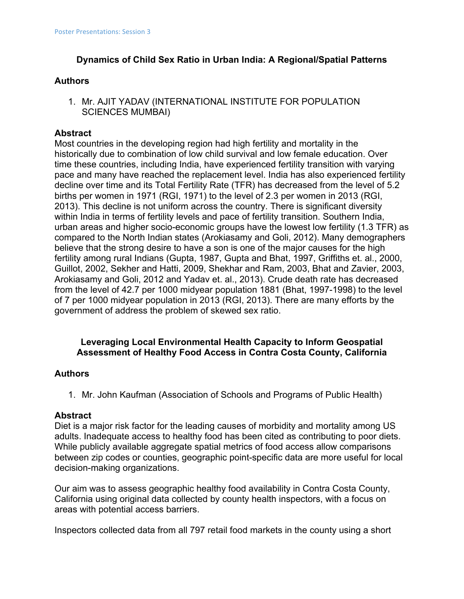# **Dynamics of Child Sex Ratio in Urban India: A Regional/Spatial Patterns**

### **Authors**

1. Mr. AJIT YADAV (INTERNATIONAL INSTITUTE FOR POPULATION SCIENCES MUMBAI)

# **Abstract**

Most countries in the developing region had high fertility and mortality in the historically due to combination of low child survival and low female education. Over time these countries, including India, have experienced fertility transition with varying pace and many have reached the replacement level. India has also experienced fertility decline over time and its Total Fertility Rate (TFR) has decreased from the level of 5.2 births per women in 1971 (RGI, 1971) to the level of 2.3 per women in 2013 (RGI, 2013). This decline is not uniform across the country. There is significant diversity within India in terms of fertility levels and pace of fertility transition. Southern India, urban areas and higher socio-economic groups have the lowest low fertility (1.3 TFR) as compared to the North Indian states (Arokiasamy and Goli, 2012). Many demographers believe that the strong desire to have a son is one of the major causes for the high fertility among rural Indians (Gupta, 1987, Gupta and Bhat, 1997, Griffiths et. al., 2000, Guillot, 2002, Sekher and Hatti, 2009, Shekhar and Ram, 2003, Bhat and Zavier, 2003, Arokiasamy and Goli, 2012 and Yadav et. al., 2013). Crude death rate has decreased from the level of 42.7 per 1000 midyear population 1881 (Bhat, 1997-1998) to the level of 7 per 1000 midyear population in 2013 (RGI, 2013). There are many efforts by the government of address the problem of skewed sex ratio.

# **Leveraging Local Environmental Health Capacity to Inform Geospatial Assessment of Healthy Food Access in Contra Costa County, California**

### **Authors**

1. Mr. John Kaufman (Association of Schools and Programs of Public Health)

### **Abstract**

Diet is a major risk factor for the leading causes of morbidity and mortality among US adults. Inadequate access to healthy food has been cited as contributing to poor diets. While publicly available aggregate spatial metrics of food access allow comparisons between zip codes or counties, geographic point-specific data are more useful for local decision-making organizations.

Our aim was to assess geographic healthy food availability in Contra Costa County, California using original data collected by county health inspectors, with a focus on areas with potential access barriers.

Inspectors collected data from all 797 retail food markets in the county using a short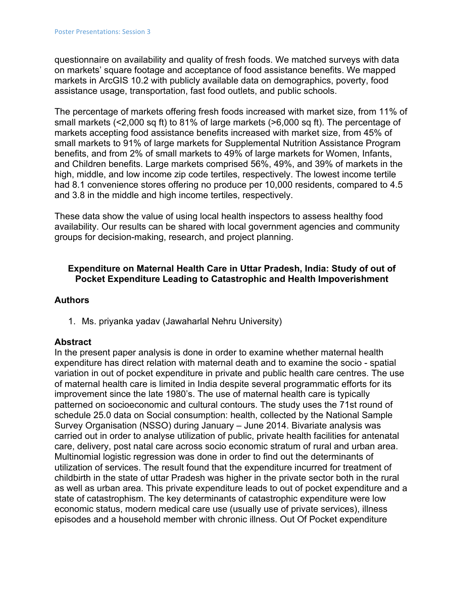questionnaire on availability and quality of fresh foods. We matched surveys with data on markets' square footage and acceptance of food assistance benefits. We mapped markets in ArcGIS 10.2 with publicly available data on demographics, poverty, food assistance usage, transportation, fast food outlets, and public schools.

The percentage of markets offering fresh foods increased with market size, from 11% of small markets (<2,000 sq ft) to 81% of large markets (>6,000 sq ft). The percentage of markets accepting food assistance benefits increased with market size, from 45% of small markets to 91% of large markets for Supplemental Nutrition Assistance Program benefits, and from 2% of small markets to 49% of large markets for Women, Infants, and Children benefits. Large markets comprised 56%, 49%, and 39% of markets in the high, middle, and low income zip code tertiles, respectively. The lowest income tertile had 8.1 convenience stores offering no produce per 10,000 residents, compared to 4.5 and 3.8 in the middle and high income tertiles, respectively.

These data show the value of using local health inspectors to assess healthy food availability. Our results can be shared with local government agencies and community groups for decision-making, research, and project planning.

# **Expenditure on Maternal Health Care in Uttar Pradesh, India: Study of out of Pocket Expenditure Leading to Catastrophic and Health Impoverishment**

### **Authors**

1. Ms. priyanka yadav (Jawaharlal Nehru University)

#### **Abstract**

In the present paper analysis is done in order to examine whether maternal health expenditure has direct relation with maternal death and to examine the socio - spatial variation in out of pocket expenditure in private and public health care centres. The use of maternal health care is limited in India despite several programmatic efforts for its improvement since the late 1980's. The use of maternal health care is typically patterned on socioeconomic and cultural contours. The study uses the 71st round of schedule 25.0 data on Social consumption: health, collected by the National Sample Survey Organisation (NSSO) during January – June 2014. Bivariate analysis was carried out in order to analyse utilization of public, private health facilities for antenatal care, delivery, post natal care across socio economic stratum of rural and urban area. Multinomial logistic regression was done in order to find out the determinants of utilization of services. The result found that the expenditure incurred for treatment of childbirth in the state of uttar Pradesh was higher in the private sector both in the rural as well as urban area. This private expenditure leads to out of pocket expenditure and a state of catastrophism. The key determinants of catastrophic expenditure were low economic status, modern medical care use (usually use of private services), illness episodes and a household member with chronic illness. Out Of Pocket expenditure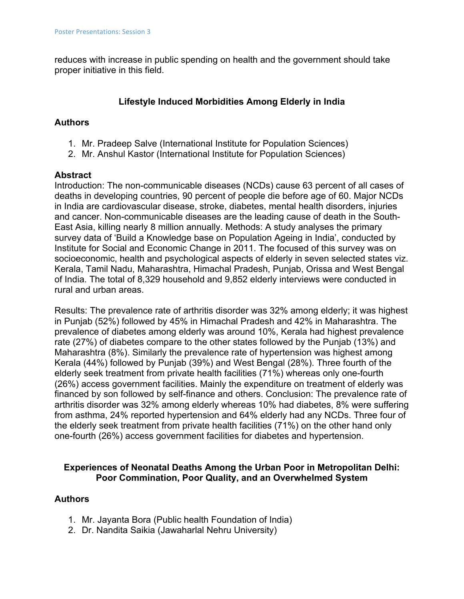reduces with increase in public spending on health and the government should take proper initiative in this field.

# **Lifestyle Induced Morbidities Among Elderly in India**

# **Authors**

- 1. Mr. Pradeep Salve (International Institute for Population Sciences)
- 2. Mr. Anshul Kastor (International Institute for Population Sciences)

### **Abstract**

Introduction: The non-communicable diseases (NCDs) cause 63 percent of all cases of deaths in developing countries, 90 percent of people die before age of 60. Major NCDs in India are cardiovascular disease, stroke, diabetes, mental health disorders, injuries and cancer. Non-communicable diseases are the leading cause of death in the South-East Asia, killing nearly 8 million annually. Methods: A study analyses the primary survey data of 'Build a Knowledge base on Population Ageing in India', conducted by Institute for Social and Economic Change in 2011. The focused of this survey was on socioeconomic, health and psychological aspects of elderly in seven selected states viz. Kerala, Tamil Nadu, Maharashtra, Himachal Pradesh, Punjab, Orissa and West Bengal of India. The total of 8,329 household and 9,852 elderly interviews were conducted in rural and urban areas.

Results: The prevalence rate of arthritis disorder was 32% among elderly; it was highest in Punjab (52%) followed by 45% in Himachal Pradesh and 42% in Maharashtra. The prevalence of diabetes among elderly was around 10%, Kerala had highest prevalence rate (27%) of diabetes compare to the other states followed by the Punjab (13%) and Maharashtra (8%). Similarly the prevalence rate of hypertension was highest among Kerala (44%) followed by Punjab (39%) and West Bengal (28%). Three fourth of the elderly seek treatment from private health facilities (71%) whereas only one-fourth (26%) access government facilities. Mainly the expenditure on treatment of elderly was financed by son followed by self-finance and others. Conclusion: The prevalence rate of arthritis disorder was 32% among elderly whereas 10% had diabetes, 8% were suffering from asthma, 24% reported hypertension and 64% elderly had any NCDs. Three four of the elderly seek treatment from private health facilities (71%) on the other hand only one-fourth (26%) access government facilities for diabetes and hypertension.

# **Experiences of Neonatal Deaths Among the Urban Poor in Metropolitan Delhi: Poor Commination, Poor Quality, and an Overwhelmed System**

# **Authors**

- 1. Mr. Jayanta Bora (Public health Foundation of India)
- 2. Dr. Nandita Saikia (Jawaharlal Nehru University)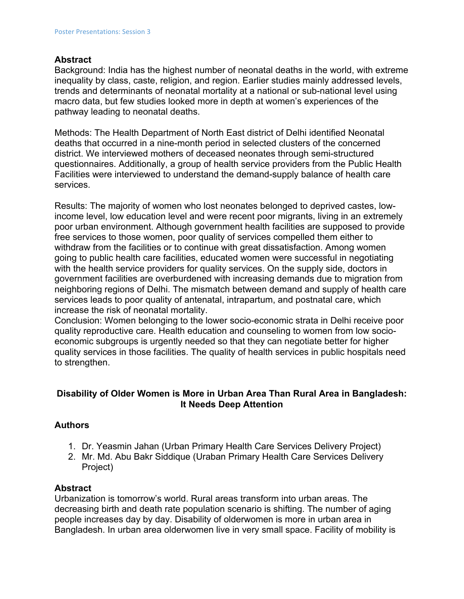#### **Abstract**

Background: India has the highest number of neonatal deaths in the world, with extreme inequality by class, caste, religion, and region. Earlier studies mainly addressed levels, trends and determinants of neonatal mortality at a national or sub-national level using macro data, but few studies looked more in depth at women's experiences of the pathway leading to neonatal deaths.

Methods: The Health Department of North East district of Delhi identified Neonatal deaths that occurred in a nine-month period in selected clusters of the concerned district. We interviewed mothers of deceased neonates through semi-structured questionnaires. Additionally, a group of health service providers from the Public Health Facilities were interviewed to understand the demand-supply balance of health care services.

Results: The majority of women who lost neonates belonged to deprived castes, lowincome level, low education level and were recent poor migrants, living in an extremely poor urban environment. Although government health facilities are supposed to provide free services to those women, poor quality of services compelled them either to withdraw from the facilities or to continue with great dissatisfaction. Among women going to public health care facilities, educated women were successful in negotiating with the health service providers for quality services. On the supply side, doctors in government facilities are overburdened with increasing demands due to migration from neighboring regions of Delhi. The mismatch between demand and supply of health care services leads to poor quality of antenatal, intrapartum, and postnatal care, which increase the risk of neonatal mortality.

Conclusion: Women belonging to the lower socio-economic strata in Delhi receive poor quality reproductive care. Health education and counseling to women from low socioeconomic subgroups is urgently needed so that they can negotiate better for higher quality services in those facilities. The quality of health services in public hospitals need to strengthen.

#### **Disability of Older Women is More in Urban Area Than Rural Area in Bangladesh: It Needs Deep Attention**

### **Authors**

- 1. Dr. Yeasmin Jahan (Urban Primary Health Care Services Delivery Project)
- 2. Mr. Md. Abu Bakr Siddique (Uraban Primary Health Care Services Delivery Project)

#### **Abstract**

Urbanization is tomorrow's world. Rural areas transform into urban areas. The decreasing birth and death rate population scenario is shifting. The number of aging people increases day by day. Disability of olderwomen is more in urban area in Bangladesh. In urban area olderwomen live in very small space. Facility of mobility is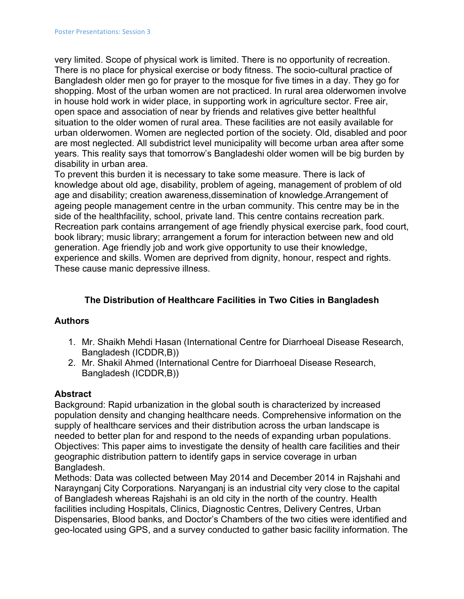very limited. Scope of physical work is limited. There is no opportunity of recreation. There is no place for physical exercise or body fitness. The socio-cultural practice of Bangladesh older men go for prayer to the mosque for five times in a day. They go for shopping. Most of the urban women are not practiced. In rural area olderwomen involve in house hold work in wider place, in supporting work in agriculture sector. Free air, open space and association of near by friends and relatives give better healthful situation to the older women of rural area. These facilities are not easily available for urban olderwomen. Women are neglected portion of the society. Old, disabled and poor are most neglected. All subdistrict level municipality will become urban area after some years. This reality says that tomorrow's Bangladeshi older women will be big burden by disability in urban area.

To prevent this burden it is necessary to take some measure. There is lack of knowledge about old age, disability, problem of ageing, management of problem of old age and disability; creation awareness,dissemination of knowledge.Arrangement of ageing people management centre in the urban community. This centre may be in the side of the healthfacility, school, private land. This centre contains recreation park. Recreation park contains arrangement of age friendly physical exercise park, food court, book library; music library; arrangement a forum for interaction between new and old generation. Age friendly job and work give opportunity to use their knowledge, experience and skills. Women are deprived from dignity, honour, respect and rights. These cause manic depressive illness.

### **The Distribution of Healthcare Facilities in Two Cities in Bangladesh**

### **Authors**

- 1. Mr. Shaikh Mehdi Hasan (International Centre for Diarrhoeal Disease Research, Bangladesh (ICDDR,B))
- 2. Mr. Shakil Ahmed (International Centre for Diarrhoeal Disease Research, Bangladesh (ICDDR,B))

### **Abstract**

Background: Rapid urbanization in the global south is characterized by increased population density and changing healthcare needs. Comprehensive information on the supply of healthcare services and their distribution across the urban landscape is needed to better plan for and respond to the needs of expanding urban populations. Objectives: This paper aims to investigate the density of health care facilities and their geographic distribution pattern to identify gaps in service coverage in urban Bangladesh.

Methods: Data was collected between May 2014 and December 2014 in Rajshahi and Naraynganj City Corporations. Naryanganj is an industrial city very close to the capital of Bangladesh whereas Rajshahi is an old city in the north of the country. Health facilities including Hospitals, Clinics, Diagnostic Centres, Delivery Centres, Urban Dispensaries, Blood banks, and Doctor's Chambers of the two cities were identified and geo-located using GPS, and a survey conducted to gather basic facility information. The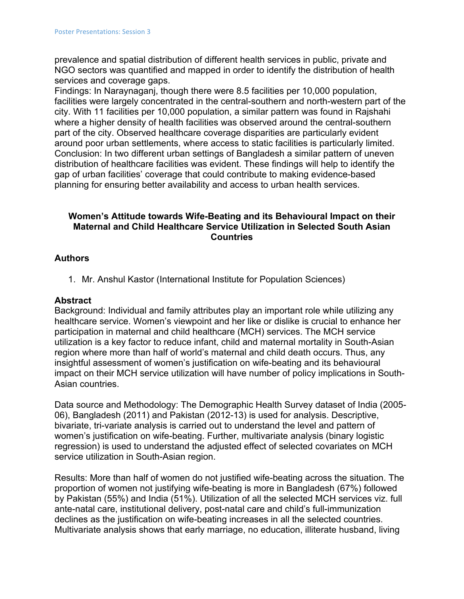prevalence and spatial distribution of different health services in public, private and NGO sectors was quantified and mapped in order to identify the distribution of health services and coverage gaps.

Findings: In Naraynaganj, though there were 8.5 facilities per 10,000 population, facilities were largely concentrated in the central-southern and north-western part of the city. With 11 facilities per 10,000 population, a similar pattern was found in Rajshahi where a higher density of health facilities was observed around the central-southern part of the city. Observed healthcare coverage disparities are particularly evident around poor urban settlements, where access to static facilities is particularly limited. Conclusion: In two different urban settings of Bangladesh a similar pattern of uneven distribution of healthcare facilities was evident. These findings will help to identify the gap of urban facilities' coverage that could contribute to making evidence-based planning for ensuring better availability and access to urban health services.

### **Women's Attitude towards Wife-Beating and its Behavioural Impact on their Maternal and Child Healthcare Service Utilization in Selected South Asian Countries**

### **Authors**

1. Mr. Anshul Kastor (International Institute for Population Sciences)

#### **Abstract**

Background: Individual and family attributes play an important role while utilizing any healthcare service. Women's viewpoint and her like or dislike is crucial to enhance her participation in maternal and child healthcare (MCH) services. The MCH service utilization is a key factor to reduce infant, child and maternal mortality in South-Asian region where more than half of world's maternal and child death occurs. Thus, any insightful assessment of women's justification on wife-beating and its behavioural impact on their MCH service utilization will have number of policy implications in South-Asian countries.

Data source and Methodology: The Demographic Health Survey dataset of India (2005- 06), Bangladesh (2011) and Pakistan (2012-13) is used for analysis. Descriptive, bivariate, tri-variate analysis is carried out to understand the level and pattern of women's justification on wife-beating. Further, multivariate analysis (binary logistic regression) is used to understand the adjusted effect of selected covariates on MCH service utilization in South-Asian region.

Results: More than half of women do not justified wife-beating across the situation. The proportion of women not justifying wife-beating is more in Bangladesh (67%) followed by Pakistan (55%) and India (51%). Utilization of all the selected MCH services viz. full ante-natal care, institutional delivery, post-natal care and child's full-immunization declines as the justification on wife-beating increases in all the selected countries. Multivariate analysis shows that early marriage, no education, illiterate husband, living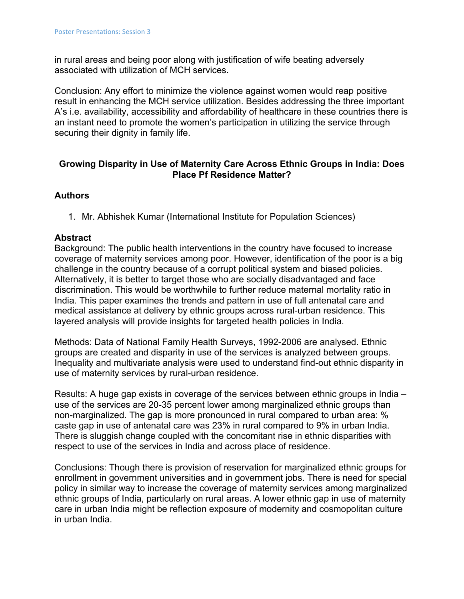in rural areas and being poor along with justification of wife beating adversely associated with utilization of MCH services.

Conclusion: Any effort to minimize the violence against women would reap positive result in enhancing the MCH service utilization. Besides addressing the three important A's i.e. availability, accessibility and affordability of healthcare in these countries there is an instant need to promote the women's participation in utilizing the service through securing their dignity in family life.

### **Growing Disparity in Use of Maternity Care Across Ethnic Groups in India: Does Place Pf Residence Matter?**

### **Authors**

1. Mr. Abhishek Kumar (International Institute for Population Sciences)

#### **Abstract**

Background: The public health interventions in the country have focused to increase coverage of maternity services among poor. However, identification of the poor is a big challenge in the country because of a corrupt political system and biased policies. Alternatively, it is better to target those who are socially disadvantaged and face discrimination. This would be worthwhile to further reduce maternal mortality ratio in India. This paper examines the trends and pattern in use of full antenatal care and medical assistance at delivery by ethnic groups across rural-urban residence. This layered analysis will provide insights for targeted health policies in India.

Methods: Data of National Family Health Surveys, 1992-2006 are analysed. Ethnic groups are created and disparity in use of the services is analyzed between groups. Inequality and multivariate analysis were used to understand find-out ethnic disparity in use of maternity services by rural-urban residence.

Results: A huge gap exists in coverage of the services between ethnic groups in India – use of the services are 20-35 percent lower among marginalized ethnic groups than non-marginalized. The gap is more pronounced in rural compared to urban area: % caste gap in use of antenatal care was 23% in rural compared to 9% in urban India. There is sluggish change coupled with the concomitant rise in ethnic disparities with respect to use of the services in India and across place of residence.

Conclusions: Though there is provision of reservation for marginalized ethnic groups for enrollment in government universities and in government jobs. There is need for special policy in similar way to increase the coverage of maternity services among marginalized ethnic groups of India, particularly on rural areas. A lower ethnic gap in use of maternity care in urban India might be reflection exposure of modernity and cosmopolitan culture in urban India.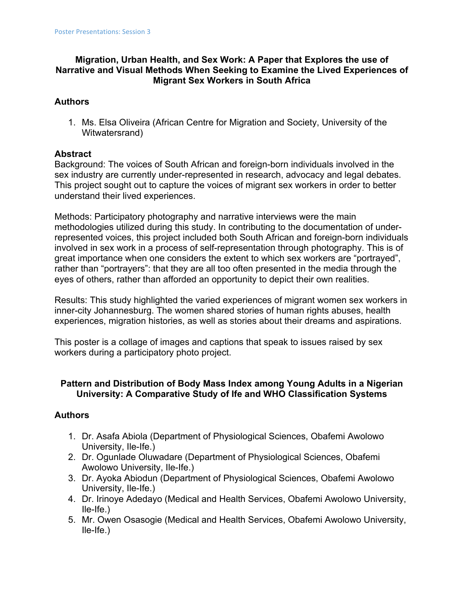# **Migration, Urban Health, and Sex Work: A Paper that Explores the use of Narrative and Visual Methods When Seeking to Examine the Lived Experiences of Migrant Sex Workers in South Africa**

# **Authors**

1. Ms. Elsa Oliveira (African Centre for Migration and Society, University of the Witwatersrand)

# **Abstract**

Background: The voices of South African and foreign-born individuals involved in the sex industry are currently under-represented in research, advocacy and legal debates. This project sought out to capture the voices of migrant sex workers in order to better understand their lived experiences.

Methods: Participatory photography and narrative interviews were the main methodologies utilized during this study. In contributing to the documentation of underrepresented voices, this project included both South African and foreign-born individuals involved in sex work in a process of self-representation through photography. This is of great importance when one considers the extent to which sex workers are "portrayed", rather than "portrayers": that they are all too often presented in the media through the eyes of others, rather than afforded an opportunity to depict their own realities.

Results: This study highlighted the varied experiences of migrant women sex workers in inner-city Johannesburg. The women shared stories of human rights abuses, health experiences, migration histories, as well as stories about their dreams and aspirations.

This poster is a collage of images and captions that speak to issues raised by sex workers during a participatory photo project.

### **Pattern and Distribution of Body Mass Index among Young Adults in a Nigerian University: A Comparative Study of Ife and WHO Classification Systems**

### **Authors**

- 1. Dr. Asafa Abiola (Department of Physiological Sciences, Obafemi Awolowo University, Ile-Ife.)
- 2. Dr. Ogunlade Oluwadare (Department of Physiological Sciences, Obafemi Awolowo University, Ile-Ife.)
- 3. Dr. Ayoka Abiodun (Department of Physiological Sciences, Obafemi Awolowo University, Ile-Ife.)
- 4. Dr. Irinoye Adedayo (Medical and Health Services, Obafemi Awolowo University, Ile-Ife.)
- 5. Mr. Owen Osasogie (Medical and Health Services, Obafemi Awolowo University, Ile-Ife.)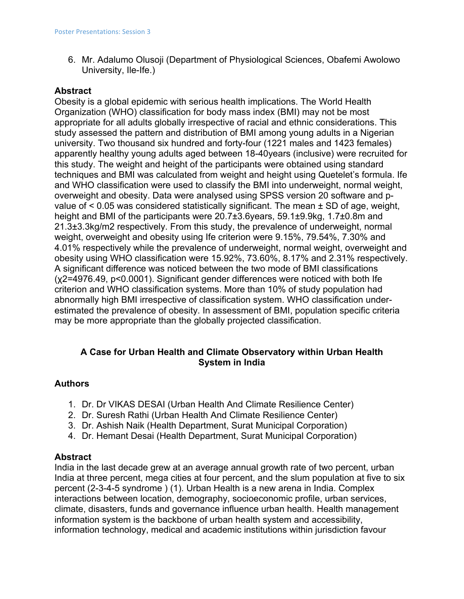6. Mr. Adalumo Olusoji (Department of Physiological Sciences, Obafemi Awolowo University, Ile-Ife.)

#### **Abstract**

Obesity is a global epidemic with serious health implications. The World Health Organization (WHO) classification for body mass index (BMI) may not be most appropriate for all adults globally irrespective of racial and ethnic considerations. This study assessed the pattern and distribution of BMI among young adults in a Nigerian university. Two thousand six hundred and forty-four (1221 males and 1423 females) apparently healthy young adults aged between 18-40years (inclusive) were recruited for this study. The weight and height of the participants were obtained using standard techniques and BMI was calculated from weight and height using Quetelet's formula. Ife and WHO classification were used to classify the BMI into underweight, normal weight, overweight and obesity. Data were analysed using SPSS version 20 software and pvalue of  $\leq$  0.05 was considered statistically significant. The mean  $\pm$  SD of age, weight, height and BMI of the participants were 20.7±3.6years, 59.1±9.9kg, 1.7±0.8m and 21.3±3.3kg/m2 respectively. From this study, the prevalence of underweight, normal weight, overweight and obesity using Ife criterion were 9.15%, 79.54%, 7.30% and 4.01% respectively while the prevalence of underweight, normal weight, overweight and obesity using WHO classification were 15.92%, 73.60%, 8.17% and 2.31% respectively. A significant difference was noticed between the two mode of BMI classifications (χ2=4976.49, p<0.0001). Significant gender differences were noticed with both Ife criterion and WHO classification systems. More than 10% of study population had abnormally high BMI irrespective of classification system. WHO classification underestimated the prevalence of obesity. In assessment of BMI, population specific criteria may be more appropriate than the globally projected classification.

# **A Case for Urban Health and Climate Observatory within Urban Health System in India**

### **Authors**

- 1. Dr. Dr VIKAS DESAI (Urban Health And Climate Resilience Center)
- 2. Dr. Suresh Rathi (Urban Health And Climate Resilience Center)
- 3. Dr. Ashish Naik (Health Department, Surat Municipal Corporation)
- 4. Dr. Hemant Desai (Health Department, Surat Municipal Corporation)

#### **Abstract**

India in the last decade grew at an average annual growth rate of two percent, urban India at three percent, mega cities at four percent, and the slum population at five to six percent (2-3-4-5 syndrome ) (1). Urban Health is a new arena in India. Complex interactions between location, demography, socioeconomic profile, urban services, climate, disasters, funds and governance influence urban health. Health management information system is the backbone of urban health system and accessibility, information technology, medical and academic institutions within jurisdiction favour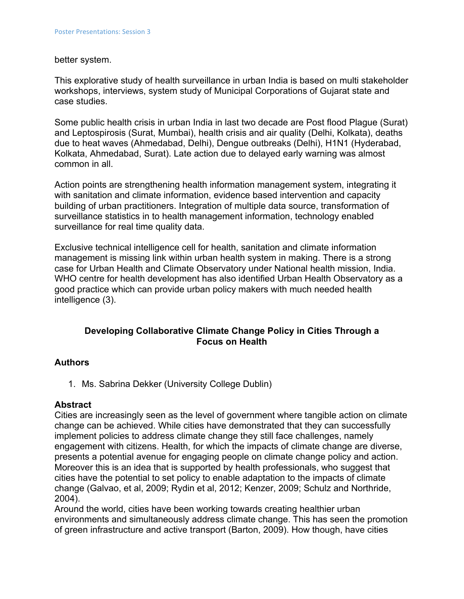#### better system.

This explorative study of health surveillance in urban India is based on multi stakeholder workshops, interviews, system study of Municipal Corporations of Gujarat state and case studies.

Some public health crisis in urban India in last two decade are Post flood Plague (Surat) and Leptospirosis (Surat, Mumbai), health crisis and air quality (Delhi, Kolkata), deaths due to heat waves (Ahmedabad, Delhi), Dengue outbreaks (Delhi), H1N1 (Hyderabad, Kolkata, Ahmedabad, Surat). Late action due to delayed early warning was almost common in all.

Action points are strengthening health information management system, integrating it with sanitation and climate information, evidence based intervention and capacity building of urban practitioners. Integration of multiple data source, transformation of surveillance statistics in to health management information, technology enabled surveillance for real time quality data.

Exclusive technical intelligence cell for health, sanitation and climate information management is missing link within urban health system in making. There is a strong case for Urban Health and Climate Observatory under National health mission, India. WHO centre for health development has also identified Urban Health Observatory as a good practice which can provide urban policy makers with much needed health intelligence (3).

# **Developing Collaborative Climate Change Policy in Cities Through a Focus on Health**

#### **Authors**

1. Ms. Sabrina Dekker (University College Dublin)

#### **Abstract**

Cities are increasingly seen as the level of government where tangible action on climate change can be achieved. While cities have demonstrated that they can successfully implement policies to address climate change they still face challenges, namely engagement with citizens. Health, for which the impacts of climate change are diverse, presents a potential avenue for engaging people on climate change policy and action. Moreover this is an idea that is supported by health professionals, who suggest that cities have the potential to set policy to enable adaptation to the impacts of climate change (Galvao, et al, 2009; Rydin et al, 2012; Kenzer, 2009; Schulz and Northride, 2004).

Around the world, cities have been working towards creating healthier urban environments and simultaneously address climate change. This has seen the promotion of green infrastructure and active transport (Barton, 2009). How though, have cities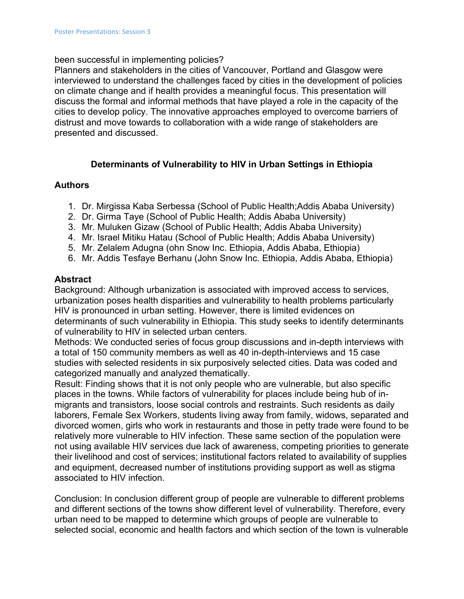#### been successful in implementing policies?

Planners and stakeholders in the cities of Vancouver, Portland and Glasgow were interviewed to understand the challenges faced by cities in the development of policies on climate change and if health provides a meaningful focus. This presentation will discuss the formal and informal methods that have played a role in the capacity of the cities to develop policy. The innovative approaches employed to overcome barriers of distrust and move towards to collaboration with a wide range of stakeholders are presented and discussed.

# **Determinants of Vulnerability to HIV in Urban Settings in Ethiopia**

#### **Authors**

- 1. Dr. Mirgissa Kaba Serbessa (School of Public Health;Addis Ababa University)
- 2. Dr. Girma Taye (School of Public Health; Addis Ababa University)
- 3. Mr. Muluken Gizaw (School of Public Health; Addis Ababa University)
- 4. Mr. Israel Mitiku Hatau (School of Public Health; Addis Ababa University)
- 5. Mr. Zelalem Adugna (ohn Snow Inc. Ethiopia, Addis Ababa, Ethiopia)
- 6. Mr. Addis Tesfaye Berhanu (John Snow Inc. Ethiopia, Addis Ababa, Ethiopia)

#### **Abstract**

Background: Although urbanization is associated with improved access to services, urbanization poses health disparities and vulnerability to health problems particularly HIV is pronounced in urban setting. However, there is limited evidences on determinants of such vulnerability in Ethiopia. This study seeks to identify determinants of vulnerability to HIV in selected urban centers.

Methods: We conducted series of focus group discussions and in-depth interviews with a total of 150 community members as well as 40 in-depth-interviews and 15 case studies with selected residents in six purposively selected cities. Data was coded and categorized manually and analyzed thematically.

Result: Finding shows that it is not only people who are vulnerable, but also specific places in the towns. While factors of vulnerability for places include being hub of inmigrants and transistors, loose social controls and restraints. Such residents as daily laborers, Female Sex Workers, students living away from family, widows, separated and divorced women, girls who work in restaurants and those in petty trade were found to be relatively more vulnerable to HIV infection. These same section of the population were not using available HIV services due lack of awareness, competing priorities to generate their livelihood and cost of services; institutional factors related to availability of supplies and equipment, decreased number of institutions providing support as well as stigma associated to HIV infection.

Conclusion: In conclusion different group of people are vulnerable to different problems and different sections of the towns show different level of vulnerability. Therefore, every urban need to be mapped to determine which groups of people are vulnerable to selected social, economic and health factors and which section of the town is vulnerable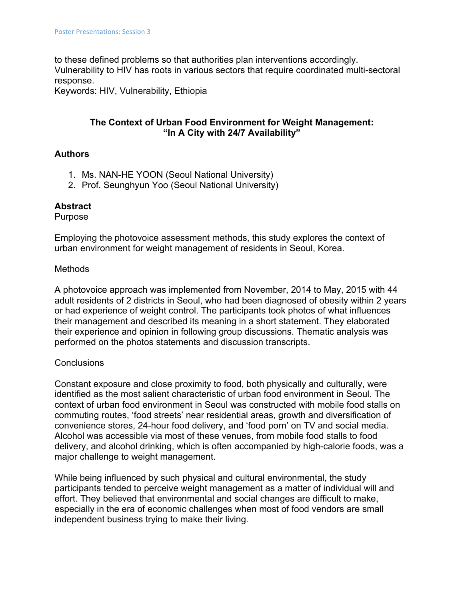to these defined problems so that authorities plan interventions accordingly. Vulnerability to HIV has roots in various sectors that require coordinated multi-sectoral response.

Keywords: HIV, Vulnerability, Ethiopia

# **The Context of Urban Food Environment for Weight Management: "In A City with 24/7 Availability"**

#### **Authors**

- 1. Ms. NAN-HE YOON (Seoul National University)
- 2. Prof. Seunghyun Yoo (Seoul National University)

#### **Abstract**

Purpose

Employing the photovoice assessment methods, this study explores the context of urban environment for weight management of residents in Seoul, Korea.

#### Methods

A photovoice approach was implemented from November, 2014 to May, 2015 with 44 adult residents of 2 districts in Seoul, who had been diagnosed of obesity within 2 years or had experience of weight control. The participants took photos of what influences their management and described its meaning in a short statement. They elaborated their experience and opinion in following group discussions. Thematic analysis was performed on the photos statements and discussion transcripts.

### **Conclusions**

Constant exposure and close proximity to food, both physically and culturally, were identified as the most salient characteristic of urban food environment in Seoul. The context of urban food environment in Seoul was constructed with mobile food stalls on commuting routes, 'food streets' near residential areas, growth and diversification of convenience stores, 24-hour food delivery, and 'food porn' on TV and social media. Alcohol was accessible via most of these venues, from mobile food stalls to food delivery, and alcohol drinking, which is often accompanied by high-calorie foods, was a major challenge to weight management.

While being influenced by such physical and cultural environmental, the study participants tended to perceive weight management as a matter of individual will and effort. They believed that environmental and social changes are difficult to make, especially in the era of economic challenges when most of food vendors are small independent business trying to make their living.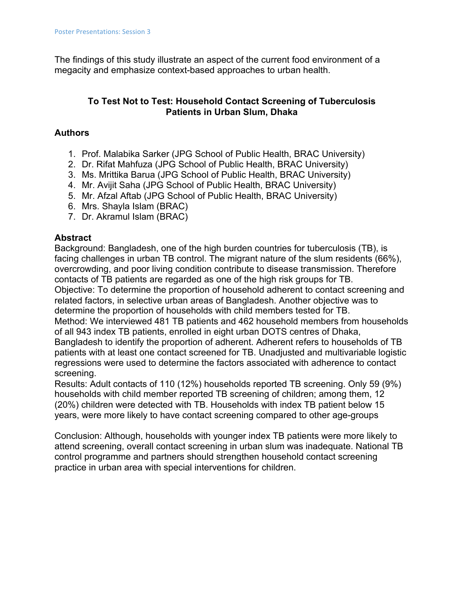The findings of this study illustrate an aspect of the current food environment of a megacity and emphasize context-based approaches to urban health.

# **To Test Not to Test: Household Contact Screening of Tuberculosis Patients in Urban Slum, Dhaka**

# **Authors**

- 1. Prof. Malabika Sarker (JPG School of Public Health, BRAC University)
- 2. Dr. Rifat Mahfuza (JPG School of Public Health, BRAC University)
- 3. Ms. Mrittika Barua (JPG School of Public Health, BRAC University)
- 4. Mr. Avijit Saha (JPG School of Public Health, BRAC University)
- 5. Mr. Afzal Aftab (JPG School of Public Health, BRAC University)
- 6. Mrs. Shayla Islam (BRAC)
- 7. Dr. Akramul Islam (BRAC)

# **Abstract**

Background: Bangladesh, one of the high burden countries for tuberculosis (TB), is facing challenges in urban TB control. The migrant nature of the slum residents (66%), overcrowding, and poor living condition contribute to disease transmission. Therefore contacts of TB patients are regarded as one of the high risk groups for TB. Objective: To determine the proportion of household adherent to contact screening and related factors, in selective urban areas of Bangladesh. Another objective was to determine the proportion of households with child members tested for TB. Method: We interviewed 481 TB patients and 462 household members from households of all 943 index TB patients, enrolled in eight urban DOTS centres of Dhaka, Bangladesh to identify the proportion of adherent. Adherent refers to households of TB patients with at least one contact screened for TB. Unadjusted and multivariable logistic regressions were used to determine the factors associated with adherence to contact screening.

Results: Adult contacts of 110 (12%) households reported TB screening. Only 59 (9%) households with child member reported TB screening of children; among them, 12 (20%) children were detected with TB. Households with index TB patient below 15 years, were more likely to have contact screening compared to other age-groups

Conclusion: Although, households with younger index TB patients were more likely to attend screening, overall contact screening in urban slum was inadequate. National TB control programme and partners should strengthen household contact screening practice in urban area with special interventions for children.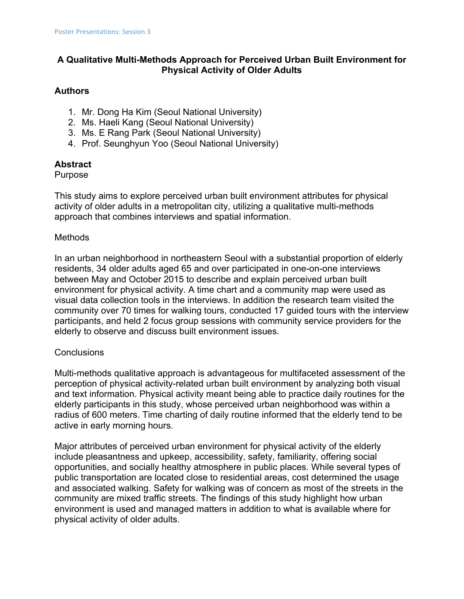# **A Qualitative Multi-Methods Approach for Perceived Urban Built Environment for Physical Activity of Older Adults**

### **Authors**

- 1. Mr. Dong Ha Kim (Seoul National University)
- 2. Ms. Haeli Kang (Seoul National University)
- 3. Ms. E Rang Park (Seoul National University)
- 4. Prof. Seunghyun Yoo (Seoul National University)

# **Abstract**

#### Purpose

This study aims to explore perceived urban built environment attributes for physical activity of older adults in a metropolitan city, utilizing a qualitative multi-methods approach that combines interviews and spatial information.

### **Methods**

In an urban neighborhood in northeastern Seoul with a substantial proportion of elderly residents, 34 older adults aged 65 and over participated in one-on-one interviews between May and October 2015 to describe and explain perceived urban built environment for physical activity. A time chart and a community map were used as visual data collection tools in the interviews. In addition the research team visited the community over 70 times for walking tours, conducted 17 guided tours with the interview participants, and held 2 focus group sessions with community service providers for the elderly to observe and discuss built environment issues.

### **Conclusions**

Multi-methods qualitative approach is advantageous for multifaceted assessment of the perception of physical activity-related urban built environment by analyzing both visual and text information. Physical activity meant being able to practice daily routines for the elderly participants in this study, whose perceived urban neighborhood was within a radius of 600 meters. Time charting of daily routine informed that the elderly tend to be active in early morning hours.

Major attributes of perceived urban environment for physical activity of the elderly include pleasantness and upkeep, accessibility, safety, familiarity, offering social opportunities, and socially healthy atmosphere in public places. While several types of public transportation are located close to residential areas, cost determined the usage and associated walking. Safety for walking was of concern as most of the streets in the community are mixed traffic streets. The findings of this study highlight how urban environment is used and managed matters in addition to what is available where for physical activity of older adults.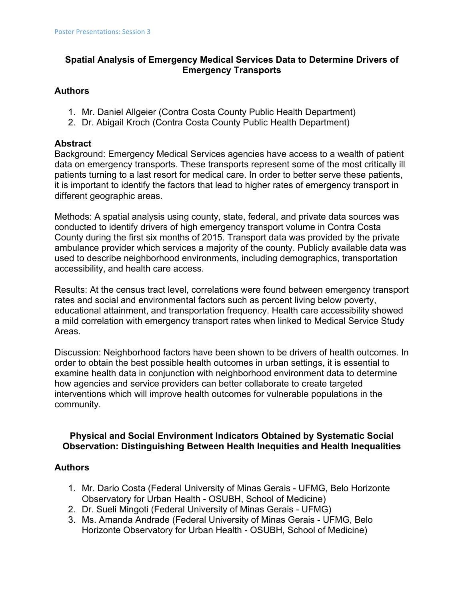# **Spatial Analysis of Emergency Medical Services Data to Determine Drivers of Emergency Transports**

#### **Authors**

- 1. Mr. Daniel Allgeier (Contra Costa County Public Health Department)
- 2. Dr. Abigail Kroch (Contra Costa County Public Health Department)

### **Abstract**

Background: Emergency Medical Services agencies have access to a wealth of patient data on emergency transports. These transports represent some of the most critically ill patients turning to a last resort for medical care. In order to better serve these patients, it is important to identify the factors that lead to higher rates of emergency transport in different geographic areas.

Methods: A spatial analysis using county, state, federal, and private data sources was conducted to identify drivers of high emergency transport volume in Contra Costa County during the first six months of 2015. Transport data was provided by the private ambulance provider which services a majority of the county. Publicly available data was used to describe neighborhood environments, including demographics, transportation accessibility, and health care access.

Results: At the census tract level, correlations were found between emergency transport rates and social and environmental factors such as percent living below poverty, educational attainment, and transportation frequency. Health care accessibility showed a mild correlation with emergency transport rates when linked to Medical Service Study Areas.

Discussion: Neighborhood factors have been shown to be drivers of health outcomes. In order to obtain the best possible health outcomes in urban settings, it is essential to examine health data in conjunction with neighborhood environment data to determine how agencies and service providers can better collaborate to create targeted interventions which will improve health outcomes for vulnerable populations in the community.

### **Physical and Social Environment Indicators Obtained by Systematic Social Observation: Distinguishing Between Health Inequities and Health Inequalities**

### **Authors**

- 1. Mr. Dario Costa (Federal University of Minas Gerais UFMG, Belo Horizonte Observatory for Urban Health - OSUBH, School of Medicine)
- 2. Dr. Sueli Mingoti (Federal University of Minas Gerais UFMG)
- 3. Ms. Amanda Andrade (Federal University of Minas Gerais UFMG, Belo Horizonte Observatory for Urban Health - OSUBH, School of Medicine)